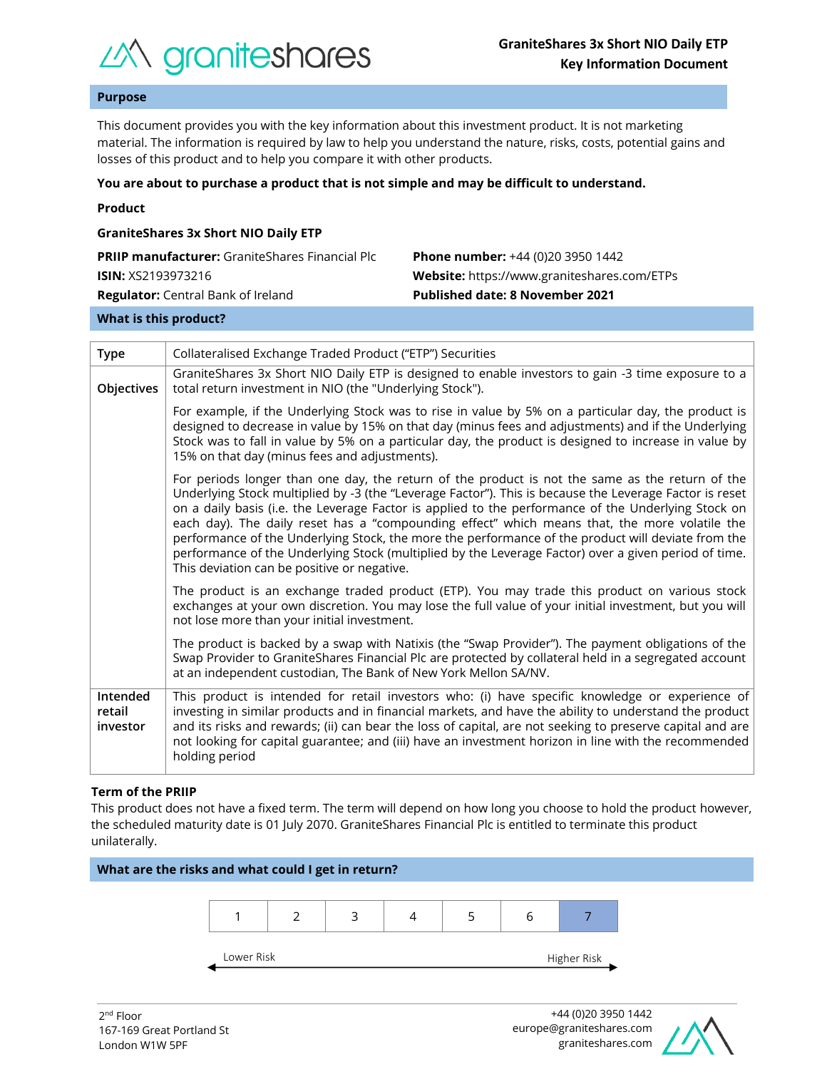

## **Purpose**

This document provides you with the key information about this investment product. It is not marketing material. The information is required by law to help you understand the nature, risks, costs, potential gains and losses of this product and to help you compare it with other products.

#### **You are about to purchase a product that is not simple and may be difficult to understand.**

|  | Product |  |
|--|---------|--|
|  |         |  |

| <b>GraniteShares 3x Short NIO Daily ETP</b>            |                                             |  |  |  |  |
|--------------------------------------------------------|---------------------------------------------|--|--|--|--|
| <b>PRIIP manufacturer:</b> GraniteShares Financial Plc | <b>Phone number:</b> +44 (0)20 3950 1442    |  |  |  |  |
| <b>ISIN:</b> XS2193973216                              | Website: https://www.graniteshares.com/ETPs |  |  |  |  |
| <b>Regulator:</b> Central Bank of Ireland              | <b>Published date: 8 November 2021</b>      |  |  |  |  |
|                                                        |                                             |  |  |  |  |

## **What is this product?**

| <b>Type</b>                    | Collateralised Exchange Traded Product ("ETP") Securities                                                                                                                                                                                                                                                                                                                                                                                                                                                                                                                                                                                                                       |  |  |  |
|--------------------------------|---------------------------------------------------------------------------------------------------------------------------------------------------------------------------------------------------------------------------------------------------------------------------------------------------------------------------------------------------------------------------------------------------------------------------------------------------------------------------------------------------------------------------------------------------------------------------------------------------------------------------------------------------------------------------------|--|--|--|
| Objectives                     | GraniteShares 3x Short NIO Daily ETP is designed to enable investors to gain -3 time exposure to a<br>total return investment in NIO (the "Underlying Stock").                                                                                                                                                                                                                                                                                                                                                                                                                                                                                                                  |  |  |  |
|                                | For example, if the Underlying Stock was to rise in value by 5% on a particular day, the product is<br>designed to decrease in value by 15% on that day (minus fees and adjustments) and if the Underlying<br>Stock was to fall in value by 5% on a particular day, the product is designed to increase in value by<br>15% on that day (minus fees and adjustments).                                                                                                                                                                                                                                                                                                            |  |  |  |
|                                | For periods longer than one day, the return of the product is not the same as the return of the<br>Underlying Stock multiplied by -3 (the "Leverage Factor"). This is because the Leverage Factor is reset<br>on a daily basis (i.e. the Leverage Factor is applied to the performance of the Underlying Stock on<br>each day). The daily reset has a "compounding effect" which means that, the more volatile the<br>performance of the Underlying Stock, the more the performance of the product will deviate from the<br>performance of the Underlying Stock (multiplied by the Leverage Factor) over a given period of time.<br>This deviation can be positive or negative. |  |  |  |
|                                | The product is an exchange traded product (ETP). You may trade this product on various stock<br>exchanges at your own discretion. You may lose the full value of your initial investment, but you will<br>not lose more than your initial investment.                                                                                                                                                                                                                                                                                                                                                                                                                           |  |  |  |
|                                | The product is backed by a swap with Natixis (the "Swap Provider"). The payment obligations of the<br>Swap Provider to GraniteShares Financial Plc are protected by collateral held in a segregated account<br>at an independent custodian, The Bank of New York Mellon SA/NV.                                                                                                                                                                                                                                                                                                                                                                                                  |  |  |  |
| Intended<br>retail<br>investor | This product is intended for retail investors who: (i) have specific knowledge or experience of<br>investing in similar products and in financial markets, and have the ability to understand the product<br>and its risks and rewards; (ii) can bear the loss of capital, are not seeking to preserve capital and are<br>not looking for capital guarantee; and (iii) have an investment horizon in line with the recommended<br>holding period                                                                                                                                                                                                                                |  |  |  |

## **Term of the PRIIP**

This product does not have a fixed term. The term will depend on how long you choose to hold the product however, the scheduled maturity date is 01 July 2070. GraniteShares Financial Plc is entitled to terminate this product unilaterally.



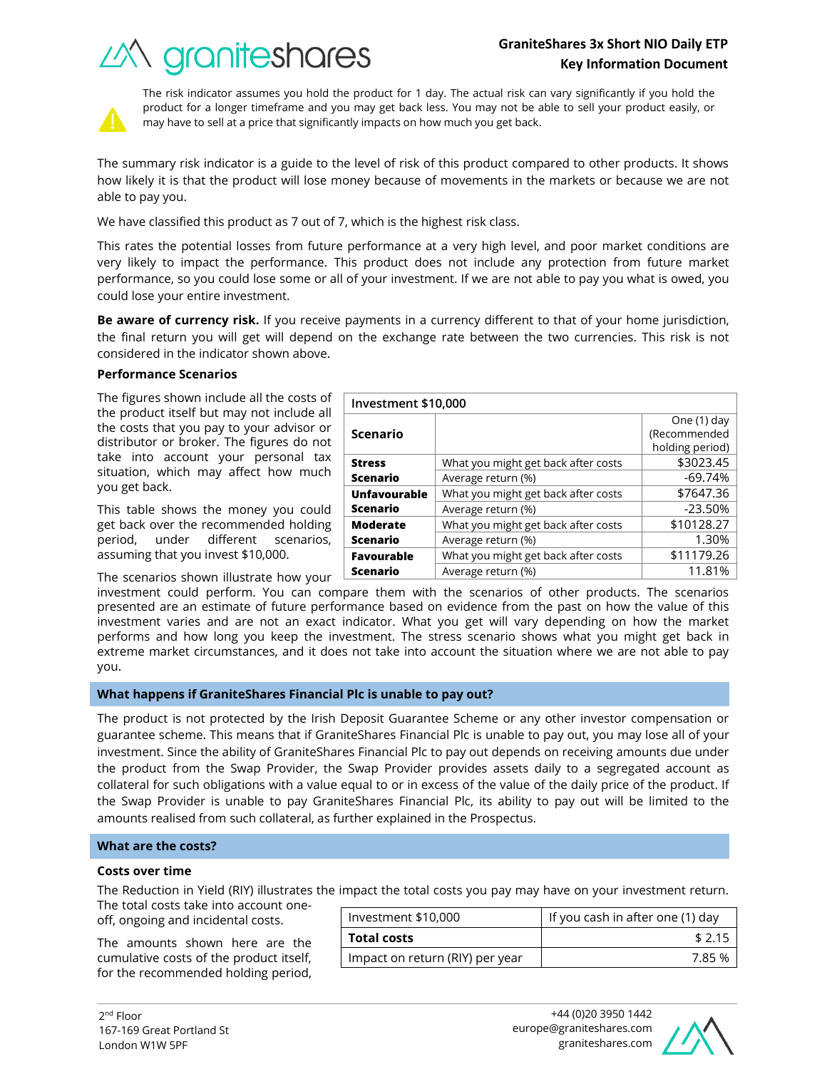# **GraniteShares 3x Short NIO Daily ETP Key Information Document**

What you might get back after costs | \$3023.45 Average return (%) and the set of the set of the set of the set of the set of the set of the set of the set of the set of the set of the set of the set of the set of the set of the set of the set of the set of the set of t

What you might get back after costs  $\sim$  \$7647.36 Average return (%)  $\sim$  23.50%

What you might get back after costs  $\vert$  \$10128.27





The risk indicator assumes you hold the product for 1 day. The actual risk can vary significantly if you hold the product for a longer timeframe and you may get back less. You may not be able to sell your product easily, or may have to sell at a price that significantly impacts on how much you get back.

The summary risk indicator is a guide to the level of risk of this product compared to other products. It shows how likely it is that the product will lose money because of movements in the markets or because we are not able to pay you.

We have classified this product as 7 out of 7, which is the highest risk class.

This rates the potential losses from future performance at a very high level, and poor market conditions are very likely to impact the performance. This product does not include any protection from future market performance, so you could lose some or all of your investment. If we are not able to pay you what is owed, you could lose your entire investment.

**Be aware of currency risk.** If you receive payments in a currency different to that of your home jurisdiction, the final return you will get will depend on the exchange rate between the two currencies. This risk is not considered in the indicator shown above.

**Investment \$10,000**

**Scenario**

**Unfavourable Scenario**

**Moderate** 

**Stress Scenario**

## **Performance Scenarios**

The figures shown include all the costs of the product itself but may not include all the costs that you pay to your advisor or distributor or broker. The figures do not take into account your personal tax situation, which may affect how much you get back.

This table shows the money you could get back over the recommended holding period, under different scenarios, assuming that you invest \$10,000.

The scenarios shown illustrate how your

investment could perform. You can compare them with the scenarios of other products. The scenarios presented are an estimate of future performance based on evidence from the past on how the value of this investment varies and are not an exact indicator. What you get will vary depending on how the market performs and how long you keep the investment. The stress scenario shows what you might get back in extreme market circumstances, and it does not take into account the situation where we are not able to pay **Scenario** Average return (%) and the set of the 1.30% **Favourable Scenario** What you might get back after costs  $\vert$  \$11179.26 Average return (%) and the set of the 11.81%

you.

## **What happens if GraniteShares Financial Plc is unable to pay out?**

The product is not protected by the Irish Deposit Guarantee Scheme or any other investor compensation or guarantee scheme. This means that if GraniteShares Financial Plc is unable to pay out, you may lose all of your investment. Since the ability of GraniteShares Financial Plc to pay out depends on receiving amounts due under the product from the Swap Provider, the Swap Provider provides assets daily to a segregated account as collateral for such obligations with a value equal to or in excess of the value of the daily price of the product. If the Swap Provider is unable to pay GraniteShares Financial Plc, its ability to pay out will be limited to the amounts realised from such collateral, as further explained in the Prospectus.

## **What are the costs?**

#### **Costs over time**

The Reduction in Yield (RIY) illustrates the impact the total costs you pay may have on your investment return.

The total costs take into account oneoff, ongoing and incidental costs.

The amounts shown here are the cumulative costs of the product itself, for the recommended holding period,

| Investment \$10,000             | If you cash in after one (1) day |  |
|---------------------------------|----------------------------------|--|
| <b>Total costs</b>              | \$2.15                           |  |
| Impact on return (RIY) per year | 785%                             |  |



One (1) day (Recommended holding period)